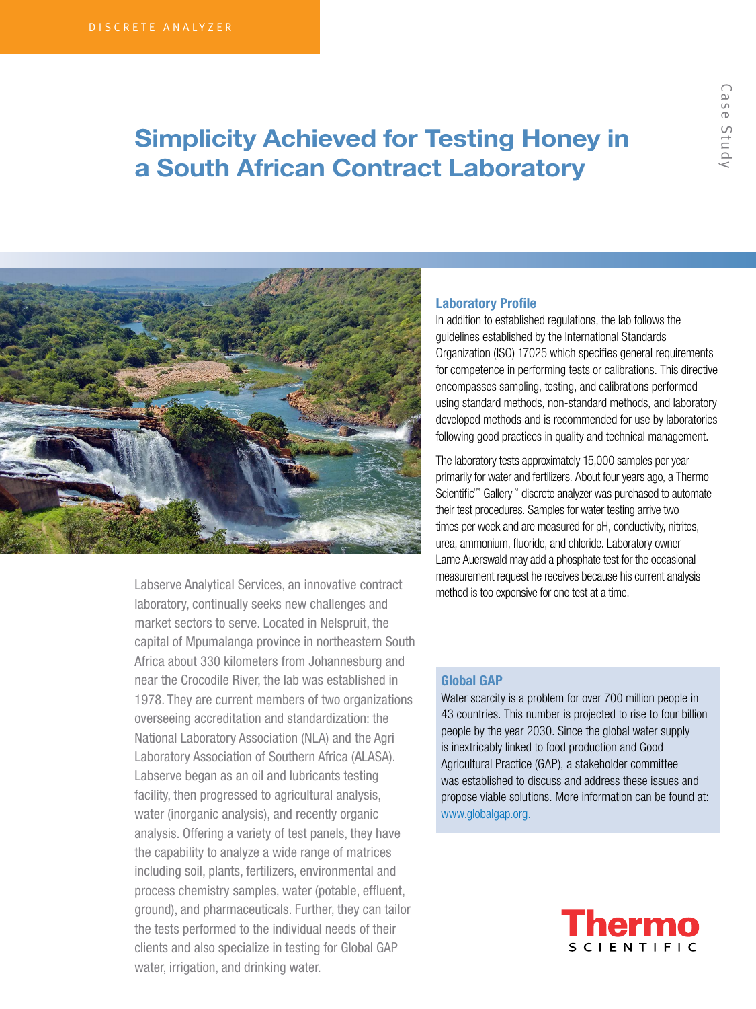# Simplicity Achieved for Testing Honey in a South African Contract Laboratory



Labserve Analytical Services, an innovative contract laboratory, continually seeks new challenges and market sectors to serve. Located in Nelspruit, the capital of Mpumalanga province in northeastern South Africa about 330 kilometers from Johannesburg and near the Crocodile River, the lab was established in 1978. They are current members of two organizations overseeing accreditation and standardization: the National Laboratory Association (NLA) and the Agri Laboratory Association of Southern Africa (ALASA). Labserve began as an oil and lubricants testing facility, then progressed to agricultural analysis, water (inorganic analysis), and recently organic analysis. Offering a variety of test panels, they have the capability to analyze a wide range of matrices including soil, plants, fertilizers, environmental and process chemistry samples, water (potable, effluent, ground), and pharmaceuticals. Further, they can tailor the tests performed to the individual needs of their clients and also specialize in testing for Global GAP water, irrigation, and drinking water.

### Laboratory Profile

In addition to established regulations, the lab follows the guidelines established by the International Standards Organization (ISO) 17025 which specifies general requirements for competence in performing tests or calibrations. This directive encompasses sampling, testing, and calibrations performed using standard methods, non-standard methods, and laboratory developed methods and is recommended for use by laboratories following good practices in quality and technical management.

The laboratory tests approximately 15,000 samples per year primarily for water and fertilizers. About four years ago, a Thermo Scientific™ Gallery™ discrete analyzer was purchased to automate their test procedures. Samples for water testing arrive two times per week and are measured for pH, conductivity, nitrites, urea, ammonium, fluoride, and chloride. Laboratory owner Larne Auerswald may add a phosphate test for the occasional measurement request he receives because his current analysis method is too expensive for one test at a time.

#### Global GAP

Water scarcity is a problem for over 700 million people in 43 countries. This number is projected to rise to four billion people by the year 2030. Since the global water supply is inextricably linked to food production and Good Agricultural Practice (GAP), a stakeholder committee was established to discuss and address these issues and propose viable solutions. More information can be found at: [www.globalgap.org.](http://www.globalgap.org)

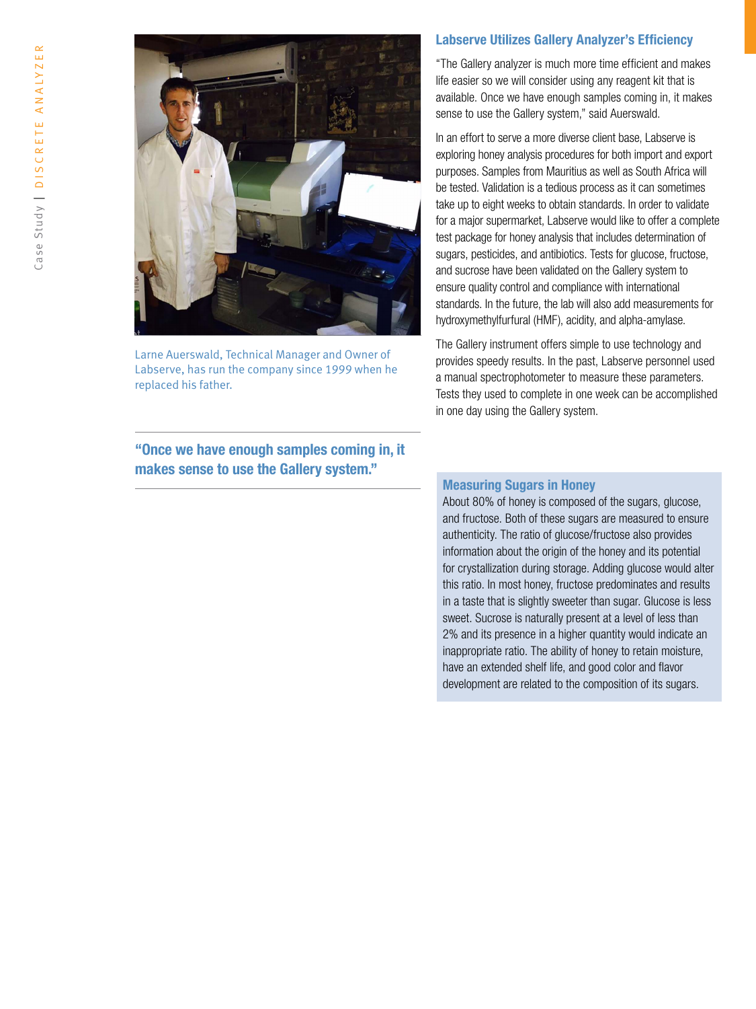

Larne Auerswald, Technical Manager and Owner of Labserve, has run the company since 1999 when he replaced his father.

"Once we have enough samples coming in, it makes sense to use the Gallery system."

#### Labserve Utilizes Gallery Analyzer's Efficiency

"The Gallery analyzer is much more time efficient and makes life easier so we will consider using any reagent kit that is available. Once we have enough samples coming in, it makes sense to use the Gallery system," said Auerswald.

In an effort to serve a more diverse client base, Labserve is exploring honey analysis procedures for both import and export purposes. Samples from Mauritius as well as South Africa will be tested. Validation is a tedious process as it can sometimes take up to eight weeks to obtain standards. In order to validate for a major supermarket, Labserve would like to offer a complete test package for honey analysis that includes determination of sugars, pesticides, and antibiotics. Tests for glucose, fructose, and sucrose have been validated on the Gallery system to ensure quality control and compliance with international standards. In the future, the lab will also add measurements for hydroxymethylfurfural (HMF), acidity, and alpha-amylase.

The Gallery instrument offers simple to use technology and provides speedy results. In the past, Labserve personnel used a manual spectrophotometer to measure these parameters. Tests they used to complete in one week can be accomplished in one day using the Gallery system.

### Measuring Sugars in Honey

About 80% of honey is composed of the sugars, glucose, and fructose. Both of these sugars are measured to ensure authenticity. The ratio of glucose/fructose also provides information about the origin of the honey and its potential for crystallization during storage. Adding glucose would alter this ratio. In most honey, fructose predominates and results in a taste that is slightly sweeter than sugar. Glucose is less sweet. Sucrose is naturally present at a level of less than 2% and its presence in a higher quantity would indicate an inappropriate ratio. The ability of honey to retain moisture, have an extended shelf life, and good color and flavor development are related to the composition of its sugars.